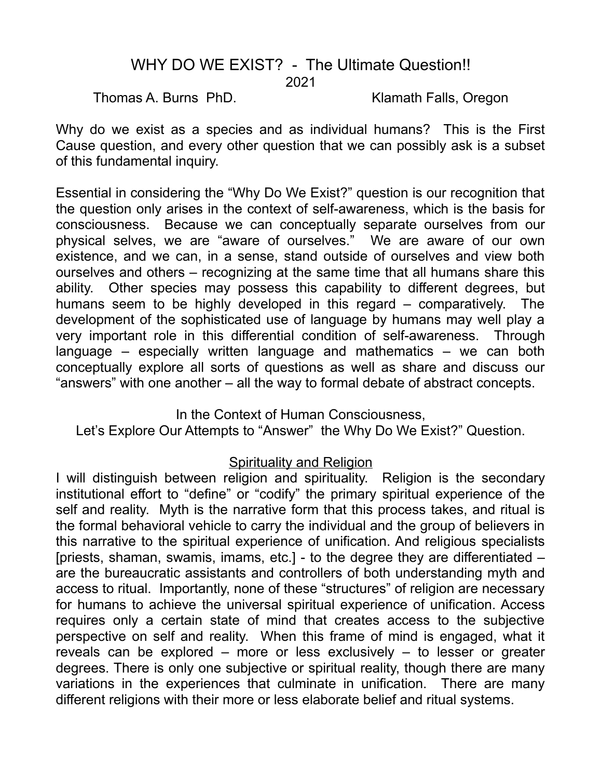# WHY DO WE EXIST? - The Ultimate Question!! 2021

Thomas A. Burns PhD. Klamath Falls, Oregon

Why do we exist as a species and as individual humans? This is the First Cause question, and every other question that we can possibly ask is a subset of this fundamental inquiry.

Essential in considering the "Why Do We Exist?" question is our recognition that the question only arises in the context of self-awareness, which is the basis for consciousness. Because we can conceptually separate ourselves from our physical selves, we are "aware of ourselves." We are aware of our own existence, and we can, in a sense, stand outside of ourselves and view both ourselves and others – recognizing at the same time that all humans share this ability. Other species may possess this capability to different degrees, but humans seem to be highly developed in this regard – comparatively. The development of the sophisticated use of language by humans may well play a very important role in this differential condition of self-awareness. Through language – especially written language and mathematics – we can both conceptually explore all sorts of questions as well as share and discuss our "answers" with one another – all the way to formal debate of abstract concepts.

In the Context of Human Consciousness, Let's Explore Our Attempts to "Answer" the Why Do We Exist?" Question.

### Spirituality and Religion

I will distinguish between religion and spirituality. Religion is the secondary institutional effort to "define" or "codify" the primary spiritual experience of the self and reality. Myth is the narrative form that this process takes, and ritual is the formal behavioral vehicle to carry the individual and the group of believers in this narrative to the spiritual experience of unification. And religious specialists [priests, shaman, swamis, imams, etc.] - to the degree they are differentiated – are the bureaucratic assistants and controllers of both understanding myth and access to ritual. Importantly, none of these "structures" of religion are necessary for humans to achieve the universal spiritual experience of unification. Access requires only a certain state of mind that creates access to the subjective perspective on self and reality. When this frame of mind is engaged, what it reveals can be explored – more or less exclusively – to lesser or greater degrees. There is only one subjective or spiritual reality, though there are many variations in the experiences that culminate in unification. There are many different religions with their more or less elaborate belief and ritual systems.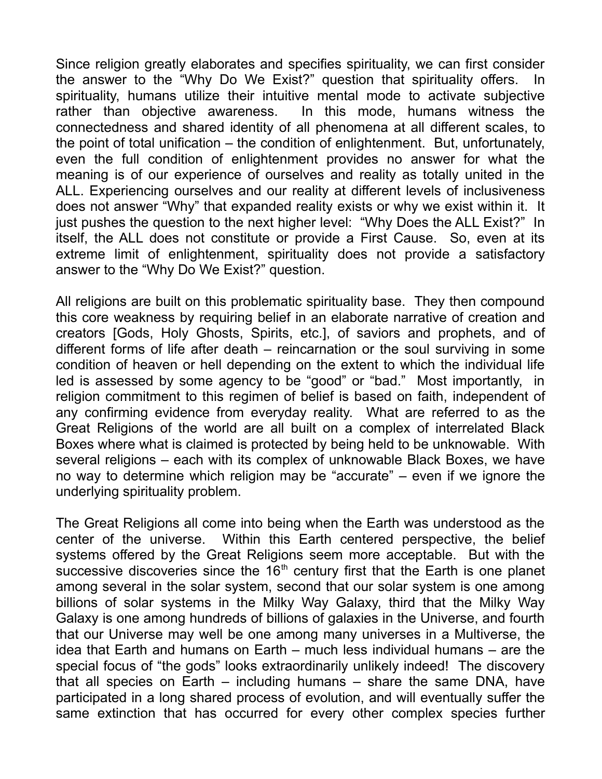Since religion greatly elaborates and specifies spirituality, we can first consider the answer to the "Why Do We Exist?" question that spirituality offers. In spirituality, humans utilize their intuitive mental mode to activate subjective rather than objective awareness. In this mode, humans witness the connectedness and shared identity of all phenomena at all different scales, to the point of total unification – the condition of enlightenment. But, unfortunately, even the full condition of enlightenment provides no answer for what the meaning is of our experience of ourselves and reality as totally united in the ALL. Experiencing ourselves and our reality at different levels of inclusiveness does not answer "Why" that expanded reality exists or why we exist within it. It just pushes the question to the next higher level: "Why Does the ALL Exist?" In itself, the ALL does not constitute or provide a First Cause. So, even at its extreme limit of enlightenment, spirituality does not provide a satisfactory answer to the "Why Do We Exist?" question.

All religions are built on this problematic spirituality base. They then compound this core weakness by requiring belief in an elaborate narrative of creation and creators [Gods, Holy Ghosts, Spirits, etc.], of saviors and prophets, and of different forms of life after death – reincarnation or the soul surviving in some condition of heaven or hell depending on the extent to which the individual life led is assessed by some agency to be "good" or "bad." Most importantly, in religion commitment to this regimen of belief is based on faith, independent of any confirming evidence from everyday reality. What are referred to as the Great Religions of the world are all built on a complex of interrelated Black Boxes where what is claimed is protected by being held to be unknowable. With several religions – each with its complex of unknowable Black Boxes, we have no way to determine which religion may be "accurate" – even if we ignore the underlying spirituality problem.

The Great Religions all come into being when the Earth was understood as the center of the universe. Within this Earth centered perspective, the belief systems offered by the Great Religions seem more acceptable. But with the successive discoveries since the  $16<sup>th</sup>$  century first that the Earth is one planet among several in the solar system, second that our solar system is one among billions of solar systems in the Milky Way Galaxy, third that the Milky Way Galaxy is one among hundreds of billions of galaxies in the Universe, and fourth that our Universe may well be one among many universes in a Multiverse, the idea that Earth and humans on Earth – much less individual humans – are the special focus of "the gods" looks extraordinarily unlikely indeed! The discovery that all species on Earth – including humans – share the same DNA, have participated in a long shared process of evolution, and will eventually suffer the same extinction that has occurred for every other complex species further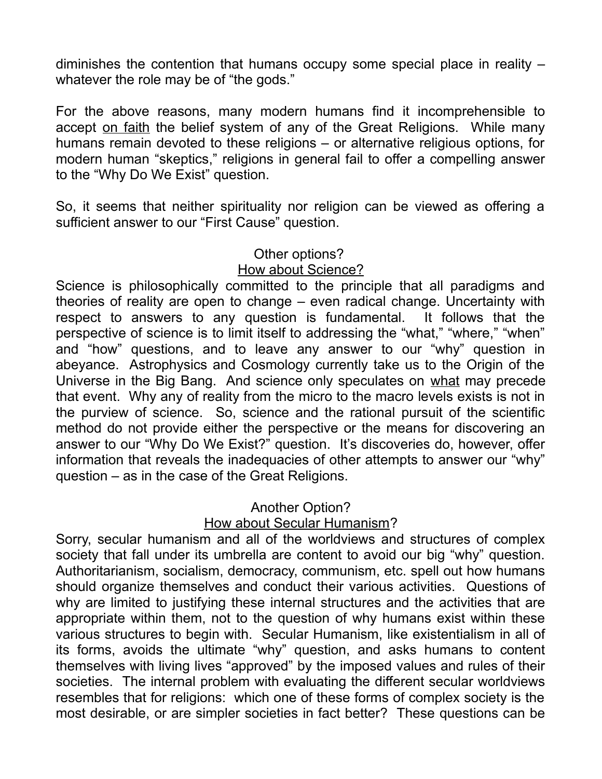diminishes the contention that humans occupy some special place in reality – whatever the role may be of "the gods."

For the above reasons, many modern humans find it incomprehensible to accept on faith the belief system of any of the Great Religions. While many humans remain devoted to these religions – or alternative religious options, for modern human "skeptics," religions in general fail to offer a compelling answer to the "Why Do We Exist" question.

So, it seems that neither spirituality nor religion can be viewed as offering a sufficient answer to our "First Cause" question.

### Other options? How about Science?

Science is philosophically committed to the principle that all paradigms and theories of reality are open to change – even radical change. Uncertainty with respect to answers to any question is fundamental. It follows that the perspective of science is to limit itself to addressing the "what," "where," "when" and "how" questions, and to leave any answer to our "why" question in abeyance. Astrophysics and Cosmology currently take us to the Origin of the Universe in the Big Bang. And science only speculates on what may precede that event. Why any of reality from the micro to the macro levels exists is not in the purview of science. So, science and the rational pursuit of the scientific method do not provide either the perspective or the means for discovering an answer to our "Why Do We Exist?" question. It's discoveries do, however, offer information that reveals the inadequacies of other attempts to answer our "why" question – as in the case of the Great Religions.

## Another Option?

## How about Secular Humanism?

Sorry, secular humanism and all of the worldviews and structures of complex society that fall under its umbrella are content to avoid our big "why" question. Authoritarianism, socialism, democracy, communism, etc. spell out how humans should organize themselves and conduct their various activities. Questions of why are limited to justifying these internal structures and the activities that are appropriate within them, not to the question of why humans exist within these various structures to begin with. Secular Humanism, like existentialism in all of its forms, avoids the ultimate "why" question, and asks humans to content themselves with living lives "approved" by the imposed values and rules of their societies. The internal problem with evaluating the different secular worldviews resembles that for religions: which one of these forms of complex society is the most desirable, or are simpler societies in fact better? These questions can be